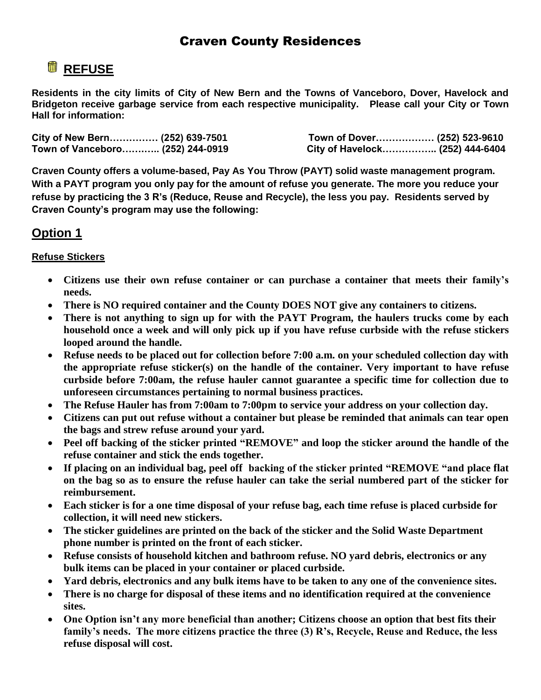## Craven County Residences

# **REFUSE**

**Residents in the city limits of City of New Bern and the Towns of Vanceboro, Dover, Havelock and Bridgeton receive garbage service from each respective municipality. Please call your City or Town Hall for information:** 

| City of New Bern (252) 639-7501  | Town of Dover (252) 523-9610    |  |
|----------------------------------|---------------------------------|--|
| Town of Vanceboro (252) 244-0919 | City of Havelock (252) 444-6404 |  |

**Craven County offers a volume-based, Pay As You Throw (PAYT) solid waste management program. With a PAYT program you only pay for the amount of refuse you generate. The more you reduce your refuse by practicing the 3 R's (Reduce, Reuse and Recycle), the less you pay. Residents served by Craven County's program may use the following:**

### **Option 1**

#### **Refuse Stickers**

- **Citizens use their own refuse container or can purchase a container that meets their family's needs.**
- **There is NO required container and the County DOES NOT give any containers to citizens.**
- **There is not anything to sign up for with the PAYT Program, the haulers trucks come by each household once a week and will only pick up if you have refuse curbside with the refuse stickers looped around the handle.**
- **Refuse needs to be placed out for collection before 7:00 a.m. on your scheduled collection day with the appropriate refuse sticker(s) on the handle of the container. Very important to have refuse curbside before 7:00am, the refuse hauler cannot guarantee a specific time for collection due to unforeseen circumstances pertaining to normal business practices.**
- **The Refuse Hauler has from 7:00am to 7:00pm to service your address on your collection day.**
- **Citizens can put out refuse without a container but please be reminded that animals can tear open the bags and strew refuse around your yard.**
- **Peel off backing of the sticker printed "REMOVE" and loop the sticker around the handle of the refuse container and stick the ends together.**
- **If placing on an individual bag, peel off backing of the sticker printed "REMOVE "and place flat on the bag so as to ensure the refuse hauler can take the serial numbered part of the sticker for reimbursement.**
- **Each sticker is for a one time disposal of your refuse bag, each time refuse is placed curbside for collection, it will need new stickers.**
- **The sticker guidelines are printed on the back of the sticker and the Solid Waste Department phone number is printed on the front of each sticker.**
- **Refuse consists of household kitchen and bathroom refuse. NO yard debris, electronics or any bulk items can be placed in your container or placed curbside.**
- **Yard debris, electronics and any bulk items have to be taken to any one of the convenience sites.**
- **There is no charge for disposal of these items and no identification required at the convenience sites.**
- **One Option isn't any more beneficial than another; Citizens choose an option that best fits their family's needs. The more citizens practice the three (3) R's, Recycle, Reuse and Reduce, the less refuse disposal will cost.**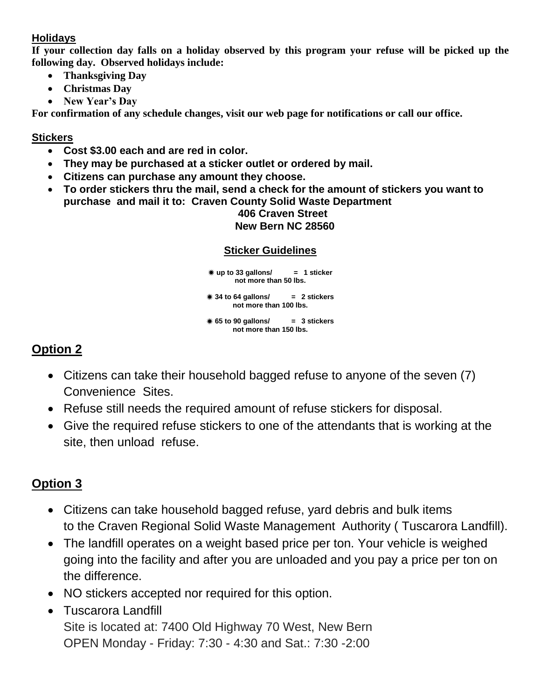### **Holidays**

**If your collection day falls on a holiday observed by this program your refuse will be picked up the following day. Observed holidays include:**

- **Thanksgiving Day**
- **Christmas Day**
- **New Year's Day**

**For confirmation of any schedule changes, visit our web page for notifications or call our office.**

### **Stickers**

- **Cost \$3.00 each and are red in color.**
- **They may be purchased at a sticker outlet or ordered by mail.**
- **Citizens can purchase any amount they choose.**
- **To order stickers thru the mail, send a check for the amount of stickers you want to purchase and mail it to: Craven County Solid Waste Department 406 Craven Street**

### **New Bern NC 28560**

### **Sticker Guidelines**

 **up to 33 gallons/ = 1 sticker not more than 50 lbs. 34 to 64 gallons/ = 2 stickers not more than 100 lbs. 65 to 90 gallons/ = 3 stickers not more than 150 lbs.**

## **Option 2**

- Citizens can take their household bagged refuse to anyone of the seven (7) Convenience Sites.
- Refuse still needs the required amount of refuse stickers for disposal.
- Give the required refuse stickers to one of the attendants that is working at the site, then unload refuse.

# **Option 3**

- Citizens can take household bagged refuse, yard debris and bulk items to the Craven Regional Solid Waste Management Authority ( Tuscarora Landfill).
- The landfill operates on a weight based price per ton. Your vehicle is weighed going into the facility and after you are unloaded and you pay a price per ton on the difference.
- NO stickers accepted nor required for this option.
- Tuscarora Landfill Site is located at: 7400 Old Highway 70 West, New Bern OPEN Monday - Friday: 7:30 - 4:30 and Sat.: 7:30 -2:00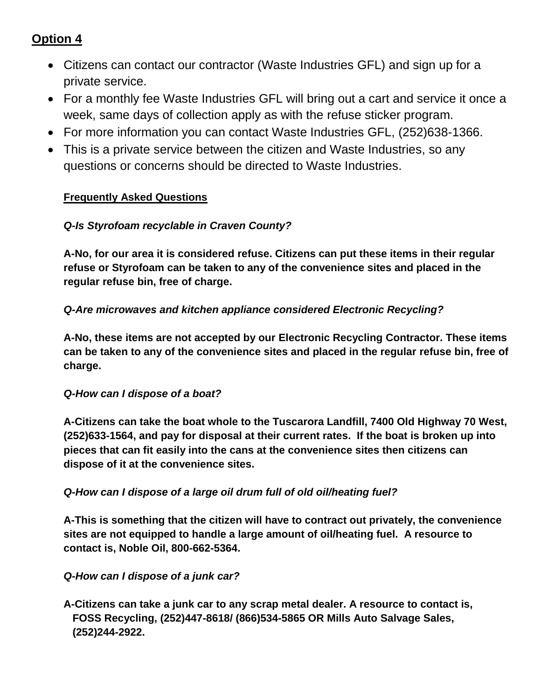### **Option 4**

- Citizens can contact our contractor (Waste Industries GFL) and sign up for a private service.
- For a monthly fee Waste Industries GFL will bring out a cart and service it once a week, same days of collection apply as with the refuse sticker program.
- For more information you can contact Waste Industries GFL, (252)638-1366.
- This is a private service between the citizen and Waste Industries, so any questions or concerns should be directed to Waste Industries.

### **Frequently Asked Questions**

### *Q-Is Styrofoam recyclable in Craven County?*

**A-No, for our area it is considered refuse. Citizens can put these items in their regular refuse or Styrofoam can be taken to any of the convenience sites and placed in the regular refuse bin, free of charge.** 

### *Q-Are microwaves and kitchen appliance considered Electronic Recycling?*

**A-No, these items are not accepted by our Electronic Recycling Contractor. These items can be taken to any of the convenience sites and placed in the regular refuse bin, free of charge.**

### *Q-How can I dispose of a boat?*

**A-Citizens can take the boat whole to the Tuscarora Landfill, 7400 Old Highway 70 West, (252)633-1564, and pay for disposal at their current rates. If the boat is broken up into pieces that can fit easily into the cans at the convenience sites then citizens can dispose of it at the convenience sites.**

### *Q-How can I dispose of a large oil drum full of old oil/heating fuel?*

**A-This is something that the citizen will have to contract out privately, the convenience sites are not equipped to handle a large amount of oil/heating fuel. A resource to contact is, Noble Oil, 800-662-5364.**

### *Q-How can I dispose of a junk car?*

**A-Citizens can take a junk car to any scrap metal dealer. A resource to contact is, FOSS Recycling, (252)447-8618/ (866)534-5865 OR Mills Auto Salvage Sales, (252)244-2922.**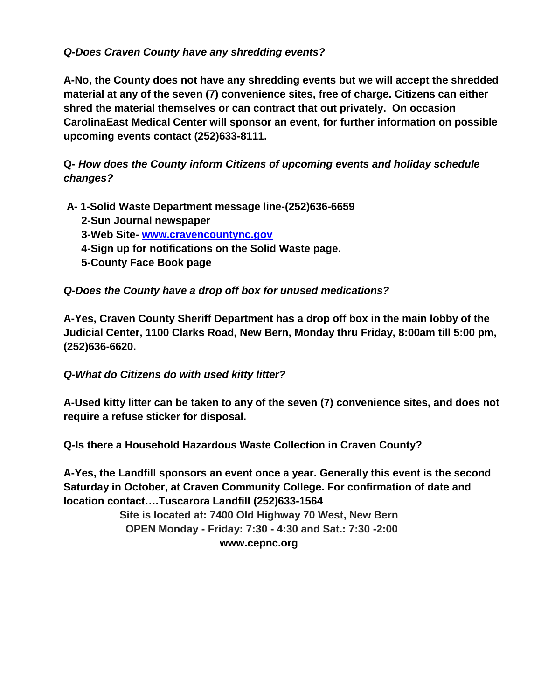### *Q-Does Craven County have any shredding events?*

**A-No, the County does not have any shredding events but we will accept the shredded material at any of the seven (7) convenience sites, free of charge. Citizens can either shred the material themselves or can contract that out privately. On occasion CarolinaEast Medical Center will sponsor an event, for further information on possible upcoming events contact (252)633-8111.**

**Q-** *How does the County inform Citizens of upcoming events and holiday schedule changes?*

- **A- 1-Solid Waste Department message line-(252)636-6659**
	- **2-Sun Journal newspaper**
	- **3-Web Site- [www.cravencountync.gov](http://www.cravencountync.gov/)**
	- **4-Sign up for notifications on the Solid Waste page.**
	- **5-County Face Book page**

*Q-Does the County have a drop off box for unused medications?*

**A-Yes, Craven County Sheriff Department has a drop off box in the main lobby of the Judicial Center, 1100 Clarks Road, New Bern, Monday thru Friday, 8:00am till 5:00 pm, (252)636-6620.**

#### *Q-What do Citizens do with used kitty litter?*

**A-Used kitty litter can be taken to any of the seven (7) convenience sites, and does not require a refuse sticker for disposal.** 

**Q-Is there a Household Hazardous Waste Collection in Craven County?**

**A-Yes, the Landfill sponsors an event once a year. Generally this event is the second Saturday in October, at Craven Community College. For confirmation of date and location contact….Tuscarora Landfill (252)633-1564**

> **Site is located at: 7400 Old Highway 70 West, New Bern OPEN Monday - Friday: 7:30 - 4:30 and Sat.: 7:30 -2:00 www.cepnc.org**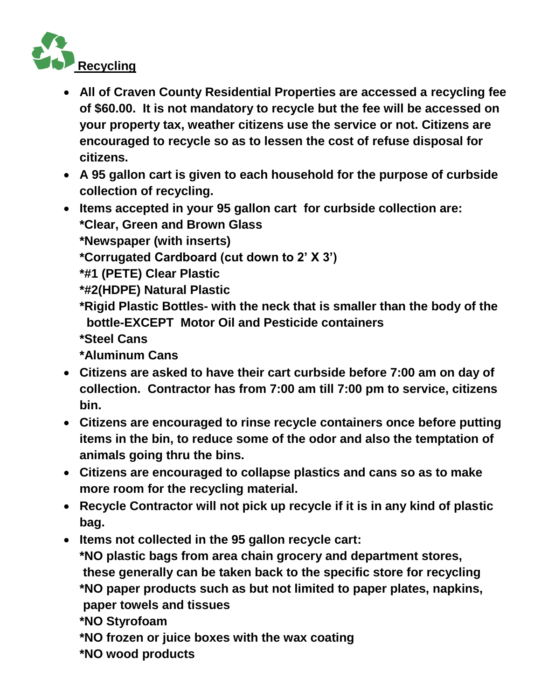

- **All of Craven County Residential Properties are accessed a recycling fee of \$60.00. It is not mandatory to recycle but the fee will be accessed on your property tax, weather citizens use the service or not. Citizens are encouraged to recycle so as to lessen the cost of refuse disposal for citizens.**
- **A 95 gallon cart is given to each household for the purpose of curbside collection of recycling.**
- **Items accepted in your 95 gallon cart for curbside collection are: \*Clear, Green and Brown Glass**

**\*Newspaper (with inserts)**

**\*Corrugated Cardboard (cut down to 2' X 3')**

**\*#1 (PETE) Clear Plastic**

**\*#2(HDPE) Natural Plastic**

- **\*Rigid Plastic Bottles- with the neck that is smaller than the body of the bottle-EXCEPT Motor Oil and Pesticide containers**
- **\*Steel Cans**

**\*Aluminum Cans**

- **Citizens are asked to have their cart curbside before 7:00 am on day of collection. Contractor has from 7:00 am till 7:00 pm to service, citizens bin.**
- **Citizens are encouraged to rinse recycle containers once before putting items in the bin, to reduce some of the odor and also the temptation of animals going thru the bins.**
- **Citizens are encouraged to collapse plastics and cans so as to make more room for the recycling material.**
- **Recycle Contractor will not pick up recycle if it is in any kind of plastic bag.**

**Items not collected in the 95 gallon recycle cart:**

**\*NO plastic bags from area chain grocery and department stores, these generally can be taken back to the specific store for recycling \*NO paper products such as but not limited to paper plates, napkins, paper towels and tissues**

**\*NO Styrofoam** 

- **\*NO frozen or juice boxes with the wax coating**
- **\*NO wood products**